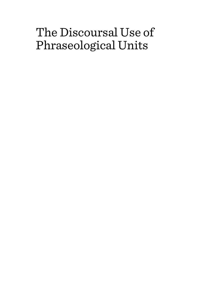# The Discoursal Use of Phraseological Units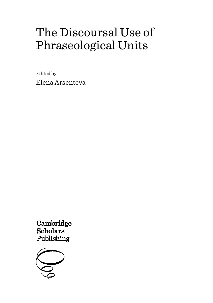# The Discoursal Use of Phraseological Units

Edited by Elena Arsenteva

Cambridge Scholars Publishing

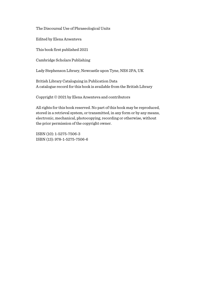The Discoursal Use of Phraseological Units

Edited by Elena Arsenteva

This book first published 2021

Cambridge Scholars Publishing

Lady Stephenson Library, Newcastle upon Tyne, NE6 2PA, UK

British Library Cataloguing in Publication Data A catalogue record for this book is available from the British Library

Copyright © 2021 by Elena Arsenteva and contributors

All rights for this book reserved. No part of this book may be reproduced, stored in a retrieval system, or transmitted, in any form or by any means, electronic, mechanical, photocopying, recording or otherwise, without the prior permission of the copyright owner.

ISBN (10): 1-5275-7506-3 ISBN (13): 978-1-5275-7506-6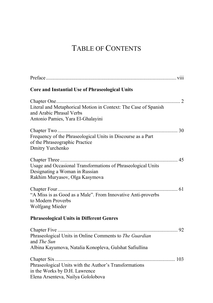# TABLE OF CONTENTS

| <b>Core and Instantial Use of Phraseological Units</b>                                                                                  |
|-----------------------------------------------------------------------------------------------------------------------------------------|
| Literal and Metaphorical Motion in Context: The Case of Spanish<br>and Arabic Phrasal Verbs<br>Antonio Pamies, Yara El-Ghalayini        |
| Frequency of the Phraseological Units in Discourse as a Part<br>of the Phraseographic Practice<br>Dmitry Yurchenko                      |
| Usage and Occasional Transformations of Phraseological Units<br>Designating a Woman in Russian<br>Rakhim Muryasov, Olga Kasymova        |
| "A Miss is as Good as a Male". From Innovative Anti-proverbs<br>to Modern Proverbs<br>Wolfgang Mieder                                   |
| <b>Phraseological Units in Different Genres</b>                                                                                         |
| Phraseological Units in Online Comments to The Guardian<br>and <i>The Sun</i><br>Albina Kayumova, Natalia Konopleva, Gulshat Safiullina |
| Phraseological Units with the Author's Transformations<br>in the Works by D.H. Lawrence<br>Elena Arsenteva, Nailya Gololobova           |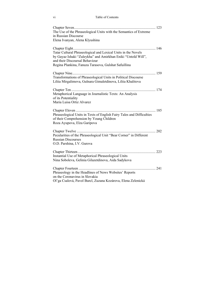| The Use of the Phraseological Units with the Semantics of Extreme                                                                                                                                                       |
|-------------------------------------------------------------------------------------------------------------------------------------------------------------------------------------------------------------------------|
| in Russian Discourse<br>Elena Ivanyan, Alena Klyushina                                                                                                                                                                  |
|                                                                                                                                                                                                                         |
| Tatar Cultural Phraseological and Lexical Units in the Novels<br>by Gayaz Ishaki "Zuleykha" and Amirkhan Eniki "Untold Will",<br>and their Discoursal Behaviour<br>Regina Plankina, Fanuza Tarasova, Gulshat Safuillina |
| Transformations of Phraseological Units in Political Discourse<br>Liliia Mirgalimova, Gulnara Gimaletdinova, Liliia Khalitova                                                                                           |
| Metaphorical Language in Journalistic Texts: An Analysis<br>of its Potentiality<br>Maria Luisa Ortiz Alvarez                                                                                                            |
| Phraseological Units in Texts of English Fairy Tales and Difficulties<br>of their Comprehension by Young Children<br>Roza Ayupova, Elza Garipova                                                                        |
| Pecularities of the Phraseological Unit "Bear Corner" in Different<br><b>Russian Discourses</b><br>O.D. Parshina, I.V. Gurova                                                                                           |
| Instantial Use of Metaphorical Phraseological Units<br>Nina Soboleva, Gelinia Gilazetdinova, Aida Sadykova                                                                                                              |
| Phraseology in the Headlines of News Websites' Reports<br>on the Coronavirus in Slovakia<br>Ol'ga Csalová, Pavol Burcl, Zuzana Kozárova, Elena Zelenická                                                                |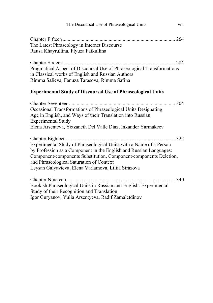| The Discoursal Use of Phraseological Units<br>vii                                                                                                                                                                                                                                                                |
|------------------------------------------------------------------------------------------------------------------------------------------------------------------------------------------------------------------------------------------------------------------------------------------------------------------|
| The Latest Phraseology in Internet Discourse<br>Rausa Khayrullina, Flyuza Fatkullina                                                                                                                                                                                                                             |
| Pragmatical Aspect of Discoursal Use of Phraseological Transformations<br>in Classical works of English and Russian Authors<br>Rimma Salieva, Fanuza Tarasova, Rimma Safina                                                                                                                                      |
| <b>Experimental Study of Discoursal Use of Phraseological Units</b>                                                                                                                                                                                                                                              |
| Occasional Transformations of Phraseological Units Designating<br>Age in English, and Ways of their Translation into Russian:<br><b>Experimental Study</b><br>Elena Arsenteva, Yetzaneth Del Valle Diaz, Inkander Yarmakeev                                                                                      |
| Experimental Study of Phraseological Units with a Name of a Person<br>by Profession as a Component in the English and Russian Languages:<br>Component/components Substitution, Component/components Deletion,<br>and Phraseological Saturation of Context<br>Leysan Galyavieva, Elena Varlamova, Liliia Sirazova |
| 340<br>Bookish Phraseological Units in Russian and English: Experimental<br>Study of their Recognition and Translation<br>Igor Guryanov, Yulia Arsentyeva, Radif Zamaletdinov                                                                                                                                    |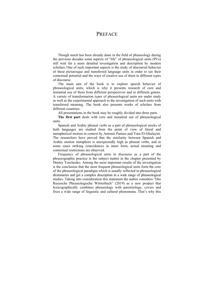### PREFACE

Though much has been already done in the field of phraseology during the previous decades some aspects of "life" of phraseological units (PUs) still wait for a more detailed investigation and description by modern scholars. One of such important aspects is the study of discoursal behavior of these picturesque and transferred language units in order to see their contextual potential and the ways of creative use of them in different types of discourse.

The main aim of the book is to explore speech behavior of phraseological units, which is why it presents research of core and instantial use of them from different perspectives and in different genres. A variety of transformation types of phraseological units are under study as well as the experimental approach to the investigation of such units with transferred meaning. The book also presents works of scholars from different countries.

All presentations in the book may be roughly divided into three parts.

**The first part** deals with core and instantial use of phraseological units.

Spanish and Arabic phrasal verbs as a part of phraseological stocks of both languages are studied from the point of view of literal and metaphorical motion in context by Antonio Pamies and Yara El-Ghalayini. The researchers have proved that the similarity between Spanish and Arabic motion metaphors is unexpectedly high in phrasal verbs, and in some cases striking coincidences in inner form, actual meaning and contextual restrictions are observed.

Frequency of phraseological units in discourse as a part of the phraseographic practice is the subject matter in the chapter presented by Dmitry Yurchenko. Among the most important results of the investigation is the conclusion that the most frequent phraseological units form the core of the phraseological paradigm which is usually reflected in phraseological dictionaries and get a complex description in a wide range of phraseological studies. Taking into consideration this statement the author considers "Das Russische Phraseologische Wörterbuch" (2019) as a new product that lexicographically combines phraseology with paremiology, covers and fixes a wide range of linguistic and cultural phenomena. That's why this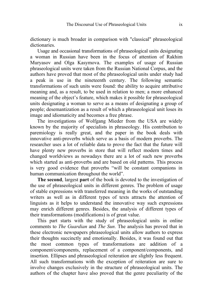dictionary is much broader in comparison with "classical" phraseological dictionaries.

Usage and occasional transformations of phraseological units designating a woman in Russian have been in the focus of attention of Rakhim Muryasov and Olga Kasymova. The examples of usage of Russian phraseological units were taken from the Russian National Corpus, and the authors have proved that most of the phraseological units under study had a peak in use in the nineteenth century. The following semantic transformations of such units were found: the ability to acquire attributive meaning and, as a result, to be used in relation to men; a more enhanced meaning of the object's feature, which makes it possible for phraseological units designating a woman to serve as a means of designating a group of people; desemantization as a result of which a phraseological unit loses its image and idiomaticity and becomes a free phrase.

The investigations of Wolfgang Mieder from the USA are widely known by the majority of specialists in phraseology. His contribution to paremiology is really great, and the paper in the book deals with innovative anti-proverbs which serve as a basis of modern proverbs. The researcher uses a lot of reliable data to prove the fact that the future will have plenty new proverbs in store that will reflect modern times and changed worldviews as nowadays there are a lot of such new proverbs which started as anti-proverbs and are based on old patterns. This process is very good evidence that proverbs "will be constant companions in human communication throughout the world".

**The second**, largest **part** of the book is devoted to the investigation of the use of phraseological units in different genres. The problem of usage of stable expressions with transferred meaning in the works of outstanding writers as well as in different types of texts attracts the attention of linguists as it helps to understand the innovative way such expressions may enrich different genres. Besides, the analysis of different types of their transformations (modifications) is of great value.

This part starts with the study of phraseological units in online comments to *The Guardian* and *The Sun.* The analysis has proved that in these electronic newspapers phraseological units allow authors to express their thoughts succinctly and emotionally. Besides, it was found out that the most common types of transformations are addition of a component/components, replacement of a component/components, and insertion. Ellipses and phraseological reiteration are slightly less frequent. All such transformations with the exception of reiteration are sure to involve changes exclusively in the structure of phraseological units. The authors of the chapter have also proved that the genre peculiarity of the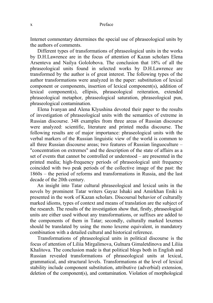#### x Preface

Internet commentary determines the special use of phraseological units by the authors of comments.

Different types of transformations of phraseological units in the works by D.H.Lawrence are in the focus of attention of Kazan scholars Elena Arsenteva and Nailya Gololobova. The conclusion that 18% of all the phraseological units found in selected works by D.H.Lawrence are transformed by the author is of great interest. The following types of the author transformations were analyzed in the paper: substitution of lexical component or components, insertion of lexical component(s), addition of lexical component(s), ellipsis, phraseological reiteration, extended phraseological metaphor, phraseological saturation, phraseological pun, phraseological contamination.

Elena Ivanyan and Alena Klyushina devoted their paper to the results of investigation of phraseological units with the semantics of extreme in Russian discourse. 348 examples from three areas of Russian discourse were analyzed: scientific, literature and printed media discourse. The following results are of major importance: phraseological units with the verbal markers of the Russian linguistic view of the world is common to all three Russian discourse areas; two features of Russian linguoculture – "concentration on extremes" and the description of the state of affairs as a set of events that cannot be controlled or understood – are presented in the printed media; high-frequency periods of phraseological unit frequency coincided with two peak periods of the collective image of the past: the 1860s – the period of reforms and transformations in Russia, and the last decade of the 20th century.

An insight into Tatar cultural phraseological and lexical units in the novels by prominent Tatar writers Gayaz Ishaki and Amirkhan Eniki is presented in the work of Kazan scholars. Discoursal behavior of culturally marked idioms, types of context and means of translation are the subject of the research. The results of the investigation show that, firstly, phraseological units are either used without any transformations, or suffixes are added to the components of them in Tatar; secondly, culturally marked lexemes should be translated by using the mono lexeme equivalent, in mandatory combination with a detailed cultural and historical reference.

Transformations of phraseological units in political discourse is the focus of attention of Liliia Mirgalimova, Gulnara Gimaletdinova and Liliia Khalitova. The conclusion made is that political blogs both in English and Russian revealed transformations of phraseological units at lexical, grammatical, and structural levels. Transformations at the level of lexical stability include component substitution, attributive (adverbial) extension, deletion of the component(s), and contamination. Violation of morphological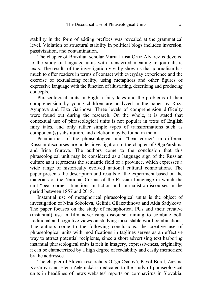stability in the form of adding prefixes was revealed at the grammatical level. Violation of structural stability in political blogs includes inversion, passivization, and contamination.

The chapter of Brazilian scholar Maria Luisa Ortiz Alvarez is devoted to the study of language units with transferred meaning in journalistic texts. The results of the investigation vividly show us that journalism has much to offer readers in terms of contact with everyday experience and the exercise of textualizing reality, using metaphors and other figures of expressive language with the function of illustrating, describing and producing concepts.

Phraseological units in English fairy tales and the problems of their comprehension by young children are analyzed in the paper by Roza Ayupova and Elza Garipova. Three levels of comprehension difficulty were found out during the research. On the whole, it is stated that contextual use of phraseological units is not popular in texts of English fairy tales, and only rather simple types of transformations such as component(s) substitution, and deletion may be found in them.

Peculiarities of the phraseological unit "bear corner" in different Russian discourses are under investigation in the chapter of OlgaParshina and Irina Gurova. The authors come to the conclusion that this phraseological unit may be considered as a language sign of the Russian culture as it represents the semantic field of a province, which expresses a wide range of historically evolved national cultural connotations. The paper presents the description and results of the experiment based on the materials of the National Corpus of the Russian Language in which the unit "bear corner" functions in fiction and journalistic discourses in the period between 1857 and 2018.

Instantial use of metaphorical phraseological units is the object of investigation of Nina Soboleva, Gelinia Gilazetdinova and Aida Sadykova. The paper focuses on the study of metaphorical PUs and their creative (instantial) use in film advertising discourse, aiming to combine both traditional and cognitive views on studying these stable word-combinations. The authors come to the following conclusions: the creative use of phraseological units with modifications in taglines serves as an effective way to attract potential recipients, since a short advertising text harboring instantial phraseological units is rich in imagery, expressiveness, originality; it can be characterized by a high degree of readability and easily memorized by the addressee.

The chapter of Slovak researchers Ol'ga Csalová, Pavol Burcl, Zuzana Kozárova and Elena Zelenická is dedicated to the study of phraseological units in headlines of news websites' reports on coronavirus in Slovakia.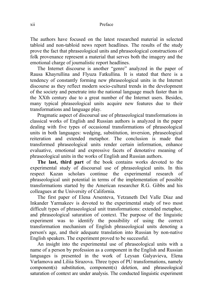#### xii Preface

The authors have focused on the latest researched material in selected tabloid and non-tabloid news report headlines. The results of the study prove the fact that phraseological units and phraseological constructions of folk provenance represent a material that serves both the imagery and the emotional charge of journalistic report headlines.

The Internet discourse is another "genre" analyzed in the paper of Rausa Khayrullina and Flyuza Fatkullina*.* It is stated that there is a tendency of constantly forming new phraseological units in the Internet discourse as they reflect modern socio-cultural trends in the development of the society and penetrate into the national language much faster than in the XXth century due to a great number of the Internet users. Besides, many typical phraseological units acquire new features due to their transformations and language play.

Pragmatic aspect of discoursal use of phraseological transformations in classical works of English and Russian authors is analyzed in the paper dealing with five types of occasional transformations of phraseological units in both languages: wedging, substitution, inversion, phraseological reiteration and extended metaphor. The conclusion is made that transformed phraseological units render certain information, enhance evaluative, emotional and expressive facets of denotative meaning of phraseological units in the works of English and Russian authors.

**The last, third part** of the book contains works devoted to the experimental study of discoursal use of phraseological units. In this respect Kazan scholars continue the experimental research of phraseological unit potential in terms of the implementation of possible transformations started by the American researcher R.G. Gibbs and his colleagues at the University of California.

The first paper of Elena Arsenteva, Yetzaneth Del Valle Diaz and Inkander Yarmakeev is devoted to the experimental study of two most difficult types of phraseological unit transformations: extended metaphor, and phraseological saturation of context. The purpose of the linguistic experiment was to identify the possibility of using the correct transformation mechanism of English phraseological units denoting a person's age, and their adequate translation into Russian by non-native English speakers. The experiment proved to be successful.

An insight into the experimental use of phraseological units with a name of a person by profession as a component in the English and Russian languages is presented in the work of Leysan Galyavieva, Elena Varlamova and Liliia Sirazova. Three types of PU transformations, namely component(s) substitution, component(s) deletion, and phraseological saturation of context are under analysis. The conducted linguistic experiment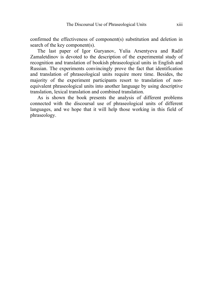confirmed the effectiveness of component(s) substitution and deletion in search of the key component(s).

The last paper of Igor Guryanov, Yulia Arsentyeva and Radif Zamaletdinov is devoted to the description of the experimental study of recognition and translation of bookish phraseological units in English and Russian. The experiments convincingly prove the fact that identification and translation of phraseological units require more time. Besides, the majority of the experiment participants resort to translation of nonequivalent phraseological units into another language by using descriptive translation, lexical translation and combined translation.

As is shown the book presents the analysis of different problems connected with the discoursal use of phraseological units of different languages, and we hope that it will help those working in this field of phraseology.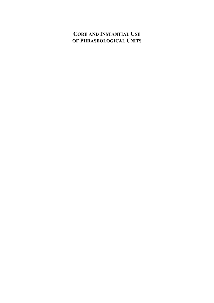# **CORE AND INSTANTIAL USE OF PHRASEOLOGICAL UNITS**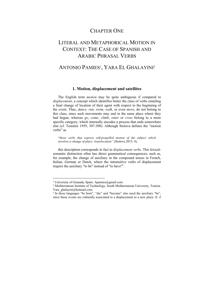### CHAPTER ONE

## LITERAL AND METAPHORICAL MOTION IN CONTEXT: THE CASE OF SPANISH AND ARABIC PHRASAL VERBS

### ANTONIO PAMIES<sup>1</sup>, YARA EL GHALAYINI<sup>2</sup>

### **1. Motion, displacement and satellites**

The English term *motion* may be quite ambiguous if compared to *displacement*, a concept which identifies better the class of verbs entailing a final change of location of their agent with respect to the beginning of the event. Thus, *dance, run, swim, walk*, or even *move*, do not belong to this class, since such movements may end in the same place where they had begun, whereas *go*, *come*, *climb*, *enter* or *cross* belong to a more specific category, which internally encodes a process that ends somewhere else (cf. Tesnière 1959, 307-308). Although Stolova defines the "motion verbs" as

"*those verbs that express self-propelled motion of the subject which involves a change of place: translocation"* (Stolova 2015, 4),

this description corresponds in fact to *displacement verbs*. This lexicalsemantic distinction often has direct grammatical consequences, such as, for example, the change of auxiliary in the compound tenses in French, Italian, German or Dutch, where the intransitive verbs of displacement require the auxiliary "to be" instead of "to have"<sup>3</sup>.

<sup>&</sup>lt;sup>1</sup> University of Granada, Spain. Apamies@gmail.com.

<sup>&</sup>lt;sup>2</sup> Mediterranean Institute of Technology, South Mediterranean University, Tunisia. Yara\_ghalayini@hotmail.com.<br><sup>3</sup> In these languages "be born", "die" and "become" also need the auxiliary "be",

since these events are culturally associated to a displacement to a new place: fr. *il*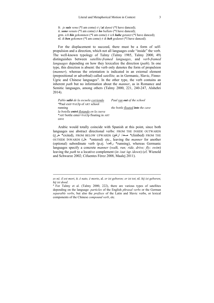fr. *je suis* venu (\*I am come)  $\neq$  *j'ai dansé* (\*I have danced); it. *sono venuto* (\*I am come)  $\neq$  *ho* ballato (\*I have danced); grm. *ich bin* gekommen (\*I am come)  $\neq$  *ich habe getanzt* (\*I have danced); nl. *ik ben gekomen* (\*I am come)  $\neq$  *ik heb gedanst* (\*I have danced).

For the displacement to succeed, there must be a form of selfpropulsion and a direction, which not all languages code "inside" the verb. The well-known typology of Talmy (Talmy 1985, Talmy 2000, 49) distinguishes between *satellite-framed languages*, and *verb-framed languages* depending on how they lexicalize the direction (*path*). In one type, this direction is absent: the verb only denotes the form of propulsion (*manner*), whereas the orientation is indicated in an external element (prepositional or adverbial) called *satellite,* as in Germanic, Slavic, Finno-Ugric and Chinese languages<sup>4</sup>. In the other type, the verb contains an inherent *path* but no information about the *manner*, as in Romance and Semitic languages, among others (Talmy 2000, 221, 240-247, Alshehri 2014).

*Pablo salió de la escuela corriendo \**Paul exit+PAS3p of ART school running *la botella entró flotando en la cueva*  \*ART bottle enter+PAS3p floating in ART cave *Paul ran out of the school the bottle floated into the cave* 

Arabic would totally coincide with Spanish at this point, since both languages use abstract directional verbs: FROM THE INSIDE OUTWARDS (خرج\* exited), FROM BELOW UPWARDS (ارتفع /صعد*\** climbed) FROM THE OUTSİDE İNWARDS (خل\* entered) etc., leaving the *manner* for another (optional) subordinate verb (p.ej. ً ركضا\* running), whereas Germanic languages specify a concrete *manner* (*walk, run; ride, drive; fly; swim*) leaving the *path* to a locative complement (*in /out /up /down*) (cf. Wienold and Schwarze 2002; Cifuentes Férez 2008, Maalej 2011).

*es né, il est mort*, it. *è nato, è morto*, al. *er ist geboren; er ist tot*; nl. *hij ist geboren*; *hij ist dood.* 4 For Talmy et al. (Talmy 2000, 222), there are various types of satellites

depending on the language: *particles* of the English *phrasal verbs* or the German *separable verbs*, but also the *prefixes* of the Latin and Slavic verbs, or lexical components of the Chinese *compound verb*, etc.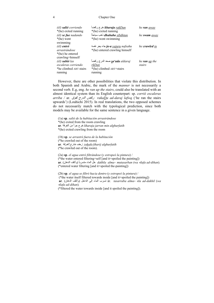#### 4 Chapter One

| kharaja <u>rakDan خر ج</u> رکضـأ<br>*(he) exited running | he <b>ran</b> away   |
|----------------------------------------------------------|----------------------|
| <i>dhahaba sibāhtan ذه</i> ب سباحةً                      | he swam <u>away</u>  |
|                                                          |                      |
| نجر نفسه <b>ja a</b> yajuru nafsahu                      | he <b>crawled</b> in |
| *(he) entered crawling himself                           |                      |
|                                                          |                      |
|                                                          |                      |
| ga'ada aldaraj صعد الدرج ركضاً                           | he <b>ran</b> up the |
| rkDan                                                    | stairs               |
| *(he) climbed ART+stairs                                 |                      |
| running                                                  |                      |
|                                                          | *(he) went swimming  |

However, there are other possibilities that violate this distribution. In both Spanish and Arabic, the mark of the *manner* is not necessarily a second verb. E.g, eng. *he ran up the stairs*, could also be translated with an almost identical system than its English counterpart: sp. *corrió escaleras arriba /* ar. لفوق الدرج ركض *rakaDa ad-daraj lafwq* ('he ran the stairs upwards') (Louhichi 2015). In real translations, the two opposed schemes do not necessarily match with the typological prediction, since both models may be available for the same sentence in a given language.

(1a) **sp**. *salió de la habitación arrastrándose*  \*(he) exited from the room crawling ً من الغرفة .**ar** جرا خرج *kharaja jarran min alghurfatih*  \*(he) exited crawling from the room

(1b) **sp**. *se arrastró fuera de la habitación*  (\*he crawled out of the room) **ar**. الغرفة خارج زحف *zahafa kharij alghurfatih*  (\*he crawled out of the room).

(2a) **sp**. *el agua entró filtrándose* (*y estropeó la pintura*) / (\*the water entered filtering+self [and it+spoiled the painting]) ً (وأتلف الدهان) .**ar** متسربا الماء خل*dakhla alma*، *mutasarban (wa* ،*tlafa ad-dihan*)*.*  (\*entered water filtering [and it+spoiled the-painting])

(2b) **sp**. *el agua se filtró hacia dentro* (*y estropeó la pintura*) / (\*the water itself filtered towards inside [and it+spoiled the painting]) **ar**. (الدهان وأتلف (الداخل إلى الماء تسرب ár. *tasarraba alma*، ،*ila ad-dakhil* (*wa*  ،*tlafa ad-dihan*)*.*

(\*filtered the water towards inside [and it spoiled the painting]).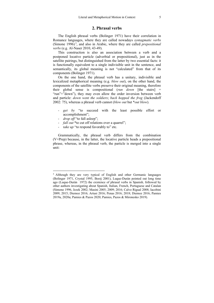### **2. Phrasal verbs**

The English phrasal verbs (Bolinger 1971) have their correlation in Romance languages, where they are called nowadays *syntagmatic verbs* (Simone 1996) 5, and also in Arabic, where they are called *prepositional verbs* (e.g. Al-Naser 2010, 43-49).

This construction is also an association between a verb and a postponed locative particle (adverbial or prepositional), just as in the satellite pairings, but distinguished from the latter by two essential facts: it is functionally equivalent to a single indivisible unit in the sentence, and semantically, its global meaning is not "calculated" from that of its components (Bolinger 1971).

On the one hand, the phrasal verb has a unitary, indivisible and lexicalized metaphorical meaning (e.g. *blow out*), on the other hand, the components of the satellite verbs preserve their original meaning, therefore their global sense is compositional (*run down* [the stairs] = "run"+"down"), they may even allow the order inversion between verb and particle: *down went the soldiers*; *back hopped the frog* (Jackendoff 2002: 75), whereas a phrasal verb cannot (*blow out* but \**out blow*).

- *get by* "to succeed with the least possible effort or accomplishment";
- *drop off* "to fall asleep";
- *fall out* \*to cut off relations over a quarrel";
- *take up* "to respond favorably to" etc.

Grammatically, the phrasal verb differs from the combination (V+Prep) because, in the latter, the locative particle heads a prepositional phrase, whereas, in the phrasal verb, the particle is merged into a single unit:

<sup>5</sup> Although they are very typical of English and other Germanic languages (Bolinger 1971, Crystal 1995, Booij 2001), Luque-Durán pointed out long time ago (Luque-Durán 1972) the existence of phrasal verbs in Spanish, followed by other authors investigating about Spanish, Italian, French, Portuguese and Catalan (Simone 1996, Jezek 2002; Masini 2005; 2009; 2016; Calvo Rigual 2008; Iacobini 2009; 2015; Diemoz 2016; Artusi 2016; Penas 2016; 2018; Diemoz 2016; Pamies 2019a, 2020a; Pamies & Pazos 2020; Pamies, Pazos & Mironesko 2019).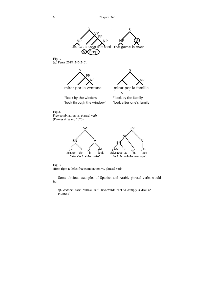

**Fig.1.** (*cf.* Penas 2018: 245-246).



mirar por la ventana

\*look by the window 'look through the window'



\*look by the family 'look after one's family'

**Fig.2.**

Free combination vs. phrasal verb (Pamies & Wang 2020).





(from right to left): free combination vs. phrasal verb

Some obvious examples of Spanish and Arabic phrasal verbs would be:

**sp**. *echarse atrás* \*throw+self backwards "not to comply a deal or promess"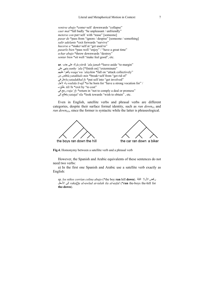*venirse abajo* \*come+self downwards "collapse" *caer mal* \*fall badly "be unpleasant / unfriendly" *meterse con* put+self with "tease" [someone] *pasar de* \*pass from "ignore / despise" [someone / something] *salir adelante* \*exit forwards "survive" *hacerse a* \*make+self at "get used to" *pasarlo bien* \*pass well "enjoy" / "have a great time" *echar abajo* \*throw downwards "destroy" *sentar bien* \*sit well "make feel good", etc.

**ar**. جنب على يترك *yitrik 'ala janab* \*leave aside "to margin" على ينهي *yunhy 'ala* [\*finish on] "exterminate" عليهم وقعوا *waqa'wu 'alayhim* \*fall on "attack collectively" من يتخلص *yatakhals min* \*break+self from "get rid of" في يتدخل *yatadakhal fy* \*put self into "get involved" لأجل ولد *wulida li*،*ajl* \*to be born for "have a strong vocation for" / بـ طلع. *tili'bi* \*exit by "to cost" في رجع *raja' fy* \*return in "not to comply a deal or promess" إلى يتطلع *yatatal'*،*ila* \*look towards "wish to obtain" , etc.

Even in English, satellite verbs and phrasal verbs are different categories, despite their surface formal identity, such as  $run\ down_{(1)}$  and *run down* $_{(II)}$ , since the former is syntactic while the latter is phraseological.



the boys ran down the hill



the car ran down a biker

**Fig.4.** Homonymy between a satellite verb and a phrasal verb

However, the Spanish and Arabic equivalents of these sentences do not need two verbs:

a) In the first one Spanish and Arabic use a satellite verb exactly as English:

sp. *los niños corrían colina abajo* (\*the boy **ran** hill **down**). التلة الأولا ركض الأسفل إلى *rakaDa al*،*awlad at-talah ila al*،*asfal* (\***ran** the-boys the-hill for **the-down**).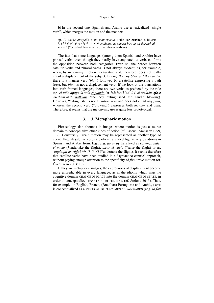#### 8 Chapter One

b) In the second one, Spanish and Arabic use a lexicalized "single verb", which merges the motion and the manner:

sp. *El coche atropelló a un motociclista*. (\*the car **crushed** a biker); النارية الدراجة بسائق السيارة اصطدمت *istadamat as-sayara bisa*،*iq ad-darajah alnaryah* (\***crushed** the-car with driver the-motorbike).

The fact that some languages (among them Spanish and Arabic) have phrasal verbs, even though they hardly have any satellite verb, confirms the opposition between both categories. Even so, the border between satellite verbs and phrasal verbs is not always evident, as, for example, when, by metonymy, motion is causative and, therefore, does not really entail a displacement of the subject. In eng. *the boy blew out the candle,*  there is a manner verb (*blow*) followed by a satellite expressing a path (*out*), but *blow* is not a displacement verb. If we look at the translations into verb-framed languages, there are two verbs as predicted by the rule (sp. *el niño apagó la vela soplando* /ar. َ *a***،***tfa*، *waladu-al* الولد أطفأ الشمعة نفخا *as-sham'atah nafkhan \**the boy extinguished the candle blowing). However, "extinguish" is not a *motion verb* and does not entail any *path*, whereas the second verb ("blowing") expresses both *manner* and *path*. Therefore, it seems that the metonymic use is quite less prototypical.

### **3. 3. Metaphoric motion**

Phraseology also abounds in images where motion is just a source domain to conceptualize other kinds of action (cf. Pascual Aransáez 1999, 132). Conversely, "real" motion may be represented as another type of event. English satellite verbs are often translated figuratively by idioms in Spanish and Arabic from. E.g., eng. *fly away* translated as sp. *emprender el vuelo* (\*undertake the flight), *alzar el vuelo* (\*raise the flight) or ar. ،*intalaqat ar-rihlah* الرحلة إنطلقت\*) undertake the-flight). It seems therefore that satellite verbs have been studied in a "syntactico-centric" approach, without paying enough attention to the specificity of *figurative* motion (cf. Özçalışkan 2003: 189).

If they are metaphoric images, the expressions of displacement become more unpredictable in every language, as in the idioms which map the cognitive domain CHANGE OF PLACE into the domain CHANGE OF STATE, in order to conceptualize SENSATIONS or FEELINGS (cf. Stolova 2015). Thus, for example, in English, French, (Brazilian) Portuguese and Arabic, LOVE is conceptualized as a VERTICAL DISPLACEMENT DOWNWARDS (eng. *to fall*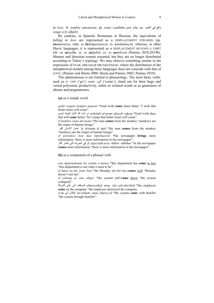*in love;* fr. *tomber amoureux;* pt. *estar caidinho por ela*; ar. الحب في وقع *waqa'a fy alhub*).

By contrast, in Spanish, Romanian or Russian, the equivalents of *falling in love* are represented as a DISPLACEMENT INWARDS (sp. *enamorarse,* rmn. *se îndrăgostească,* rs. *влюбиться*)*,* whereas, in other Slavic languages, it is represented as a DISPLACEMENT BEYOND A LIMIT (sb. се **за**љуби*;* cr. *se zaljubiti*; cz. *se zamilovat* (Pamies 2018,2019b). Manner and direction remain essential, but they are no longer distributed according to Talmy's typology. We may observe something similar in the expression of FEAR, DREAM or DRUNKENNESS, where the distribution of the metaphorical models among these languages does not coincide with that of LOVE: (Pamies and Iñesta 2000; Iñesta and Pamies 2002; Pamies 2018).

This phenomenon is not limited to phraseology. The most basic verbs, such as *ir* /شهب) ('go') *venir* /أتى' ('come'), stand out for their huge and varied polysemic productivity, either as isolated words or as generators of idioms and pragmatemes.

**(a)** as a simple word:

*ojalá vengan tiempos mejores* \*God+wish **come** times better "I wish that better times will come".

أحسن الجاية الأيام الله شاء ان ،*nshalah al*،*ayam aljayeh* ،*ahsan* \*God+wish days that will **come** better "let's hope that better times will come".

*el hombre viene del mono* \*the man **comes** from the monkey "monkeys are the origin of human beings".

القر الإنسان أصل' sl al،insan al qird \*the man **comes** from the monkey "monkeys are the origin of human beings".

*el periódico trae más información* \*the newspaper **brings** more information "there is more information in the newspaper".

أكثر أخبار تأتي الجريدة في, *fy aljarydah ta*،*ty* ،*khbar* ،*akhthar* \*in the newspaper **comes** more information "there is more information in the newspaper"*.*

**(b)** as a component of a phrasal verb:

*este departamento ha venido a menos* \*this department has **come** to less "this department is not what it used to be".

*el lunes no me viene bien* \*the Monday not for+me **comes** well "Monday doesn't suit me".

*el sistema se vino abajo*: \*the system self+**came** down "the system collapsed".

الشركة على أتى الموظف *almuwathaf* ،*ataa 'ala ash-sharikah* \*the employee **came** on the company "the employee destroyed the company.

بفوائد أتى النظام *an-nitham* ،*ataa bifawa'id* \*the system **came** with benifits "the system brought benifits".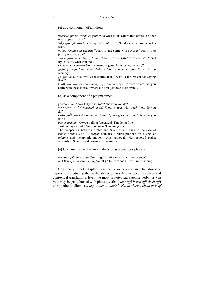**(c)** as a component of an idiom:

*hacer lo que nos viene en gana* \* do what to+us **comes** into desire "he does what appeals to him".

برأسه بيجي إلي بيعمل *by'mil* ،*ily byijy 'ala rash* \*he does what **comes** to his head.

*no me vengas con excusas* \*don't to+me **come** with excuses "don't try to justify what you did".

بأعذار تيجيني ما *ma tyjyny bi*،*thar* \*don't to+me **come** with excuses "don't try to justify what you did".

*se me va la memoria* \*to+me memory **goes** "I am losing memory".

ذاكرتي تروح عم*' am bitroh thakirty* \*to+me memory **goes** "I am losing memory".

*¿a qué viene eso?* \*to what **comes** that? "what is the reason for saying that?".

الافكار؟ بهذه إجيت وين من *min wyn* ،*jit bihathi al*،*fkar* \*from where did you **come** with these ideas? "where did you get these ideas from".

**(d)** as a component of a pragmateme:

¿cómo te va? \*how to+you it+**goes**? "how do you do?"

معك؟ ماشية كيف *kyf mashyeh m'ak?* \*how it **goes** with you? "how do you do?"

ماشية؟ الأمور كيف *kyf elomwr mashyeh?* \*¿how **goes** the thing? "how do you do?";

*vamos tirando* \*we+**go** pulling [upwards] "I'm doing fine"

احلين *dahlyn* {Jord.}\*we+**go** down "I'm doing fine"

The comparison between Arabic and Spanish is striking in the case of *vamos tirando* / احلين *dahlyn*: both use a plural pronoun for a singular referent and metaphoric motion verbs, although with opposed paths: upwards in Spanish and downwards in Arabic.

**(e)** Grammaticalized as an auxiliary of aspectual periphrases

*me voy a jubilar pronto*: \*self I+**go** at retire soon "I will retire soon"; قريبا أتقاعد رح *rah* ،*tka'ad qaryban* \*I **go** to retire soon "I will retire soon";

Conversely, "real" displacement can also be expressed by idiomatic expressions, reducing the predictability of crosslinguistic equivalences and contextual translations. Even the most prototypical satellite verbs (as *run out*) may be paraphrased with phrasal verbs (*clear off*; *brush off; dash off*) or hyperbolic idioms (*to leg it*; *take to one's heels; to show a clean pair of*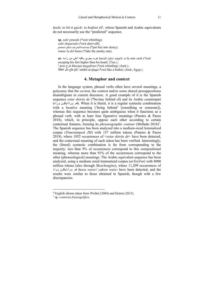*heels*; *to bit it quick; to hotfoot it*) 6 , whose Spanish and Arabic equivalents do not necessarily use the "predicted" sequence.

**sp**. *salir pitando* (\*exit whistling)*; salir disparado* (\*exit shot+off)*; poner pies en polvorosa* (\*put feet into dusty); *tomar la del humo* (\*take the smoky one).

**ar.** راسه من أعلى ساقيه يجري هرب *harab yijry saqyh* ،*a'la min rash* (\*exit escaping his feet higher than his head) {Tun.}; ً مصفرا خرج *kharaja musafiran* (\*exit whistling) {Jord.}; الطلقة مثل طلع tili' mithil at-tlaqa (\*exit like a bullet) {Jord., Egyp.}.

### **4. Metaphor and context**

In the language system, phrasal verbs often have several meanings, a polysemy that the co-text, the context and/or some shared presuppositions disambiguate in current discourse. A good example of it is the Spanish sequence *estar detrás de* (\*be/stay behind of) and its Arabic counterpart (هو وراء/يكون وراء). When it is literal, it is a regular syntactic combination with a locative meaning ('being behind' [something or someone]), whereas this sequence becomes quite ambiguous when it functions as a phrasal verb, with at least four figurative meanings (Pamies & Pazos 2018), which, in principle, oppose each other according to certain contextual features, forming its *phraseographic contour* (Mellado 2018)<sup>7</sup>. The Spanish sequence has been analyzed into a medium-sized lemmatized corpus (*Timestamped JSI*) with 157 million tokens (Pamies & Pazos 2018), where 1052 occurrences of <*estar detrás de*> have been detected, and the contextual meaning of each token has been verified. Interestingly, the (literal) syntactic combination is far from corresponding to the majority: less than 9% of occurrences correspond to this compositional meaning, whereas more than 91% of the occurrences correspond to the other (phraseological) meanings. The Arabic equivalent sequence has been analyzed, using a medium sized lemmatized corpus (*arTenTen*) with 8000 million tokens (also through *Sketchengine*), where 11,209 occurrences of وراء يكون/وراء هو *huwa wara*،*/ yakwn wara*، have been detected, and the results were similar to those obtained in Spanish, though with a few discrepancies.

<sup>6</sup> English idioms taken from Weibel (2004) and Hotten (2013).

<sup>7</sup> sp. *contorno fraseográfico.*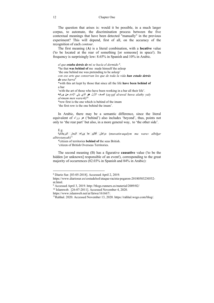The question that arises is: would it be possible, in a much larger corpus, to automate, the discrimination process between the five contextual meanings that have been detected "manually" in the previous experiment? This will depend, first of all, on the accuracy of the recognition of each *contour*.

The first meaning (**A**) is a literal combination, with a **locative** value ('to be located at the rear of something [or someone] in space'). Its frequency is surprisingly low: 8.65% in Spanish and 10% in Arabic.

*el que estaba detrás de mí se hacía el dormido* 8. \*he that **was behind of** me made himself the asleep 'the one behind me was pretending to be asleep' *con ese arte que conservan los que de toda la vida han estado detrás de una barra*<sup>9</sup> \*with this art kept by those that since all the life **have been behind of** a bar 'with the art of those who have been working in a bar all their life'.  *yaly alathy huwa awal*،*al saf-as* (الصف الأول **هو** الذي يلي الإمام **من ورائه** *al*،*imam men wara*،*h*)10 \*row first is the one which is behind of the imam 'the first row is the one behind the imam'.

In Arabic, there may be a semantic difference, since the literal equivalent of وراء هو') behind') also includes 'beyond', thus, points not only to 'the rear part' but also, in a more general way, to 'the other side'.

#### E.g.

 *albihar* ،*wara ma aqalym*،*muwatin* (مواطن أقاليم **ما وراء** البحار البريطانية  $albirvtanyah$ <sup>11</sup>

\*citizen of territories **behind of** the seas British.

'citizen of British Overseas Territories.

The second meaning (B) has a figurative **causative** value ('to be the hidden [or unknown] responsible of an event'), corresponding to the great majority of occurrences (82.03% in Spanish and 84% in Arabic):

<sup>8</sup> Diario Sur. [03-05-2018]. Accessed April 2, 2019.

https://www.diariosur.es/costadelsol/ataque-racista-pegaron-20180503230552 nt.html

<sup>&</sup>lt;sup>9</sup> Accessed April 3, 2019. http://blogs.runners.es/material/2009/02/<br><sup>10</sup> Islamweb. [26-07-2011]. Accessed November 4, 2020.

https://www.islamweb.net/ar/fatwa/161667/.<br><sup>11</sup>Rahhal. 2020. Accessed November 13, 2020. https://rahhal.wego.com/blog/.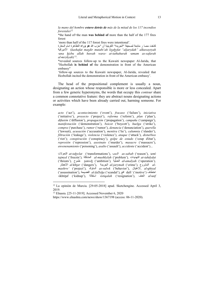*la mano del hombre estuvo detrás de más de la mitad de los 117 incendios forestales*<sup>12</sup>

\*the hand of+the man **was behind of** more than the half of the 177 fires forest

'more than half of the 117 forest fires were intentional'.

كشفت مصار متابعة لصحيفة "الجريدة" الكويتية أن "حزب الله **هو وراء** التظاهرة امام السفارة الأميركية) *kashafat masdir mutabi'ah lisahyfat "aljarydah" alkuwaytyah*  ،*ana hizbu allah huwah wara*، *at-tathahurah* ،*amam as-safarah al*،*mrykyah*) 13.

\*revealed sources follow-up to the Kuwaiti newspaper Al-Jarida, that "Hezbollah **is behind of** the demonstration in front of the American embassy"

'follow-up sources to the Kuwaiti newspaper, Al-Jarida, revealed that Hezbollah incited the demonstration in front of the American embassy'.

The head of the prepositional complement is usually a noun, designating an action whose responsible is more or less concealed. Apart from a few generic hyperonyms, the words that occupy this *contour* share a common connotative feature: they are abstract nouns designating actions or activities which have been already carried out, harming someone. For example:

*acto* ('act'), *acontecimiento* ('event'), *fracaso* ('failure'), *iniciativa* ('initiative'), *proyecto* ('project'), *reforma* ('reform'), *plan* ('plan'), *difusión* ('diffusion'), *propagación* ('propagation'), *campaña* ('campaign'), *manifestación* ('demonstration'), *boicot* ('boycott'), *huelga* ('strike'), *compra* ('purchase'), *rumor* ('rumor'), *denuncia* ('denunciation'), *querella* ('lawsuit), *acusación* ('accusation'), *mentira* ('lie'), *calumnia* ('slander'), *filtración* ('leakage'), *violencia* ('violence'), *ataque* ('attack'), *disturbios* ('riot'); *conspiración* ('conspiracy'), *golpe de estado* ('coup d'état'), *represión* ('repression'), *asesinato* ('murder'), *masacre* ('massacre'), *envenenamiento* ('poisoning'), *asalto* ('assault'), *accidente* ('accident')...

التحولات *at-tahwlat* ('transformations'), السبب *as-sabab* ('reason'), تجميد *tajmyd* ('freezin')*,* المشكلة *al-mushkylah* ('problem')*,* التهديدات *at-tahdydat* ('threats')*,* طموح *tamwh* ('ambition')*,* العملية *al*،*amalyah* ('operation')*,*  الأخطار *al*،*khtar* ('dangers'), الجريمة *al-jarymah* ('crime')*,* المشروع *almashrw'* ('project'), السلوك *as-sulwk* ('behavior'), الإغتيال, *al*،*ghtyal*  ('assassination'), الفضيحة *al-faDyha* ('scandal'), افع dafi*'* ('motive') اختطاف ،ikhtitaf ('kidnap'), استقالة ،*istiqalah* ('resignation'), العنف *al*،*unf* 

<sup>12</sup> La opinión de Murcia. [29-05-2018] apud. Sketchengine. Accessed April 3, 2019.

<sup>13</sup> Elnasra. [25-11-2019]. Accessed November 6, 2020

https://www.elnashra.com/news/show/1367198 (access: 06-11-2020).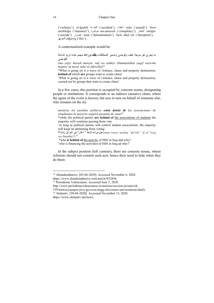#### 14 Chapter One

('violence'), *al-hadith* اعتداء ('accident'), إعتداء *، tida* ('assault'). مذبحة *mathbaha* ('massacre'), مؤامرة *mu*،*amarah* ('conspiracy'), انتحار ،*intihar* ('suicide'), إصرار ،israr ('determination'), خديعة *khdy'ah* ('deception'), الحريق *alharyq* ('fire')...

A contextualized example would be:

ما يجري هو موجة عنف وفوضى وتدمير الممتلكات **يقف وراءه** مجموعات تريد إشاعة الفوضى

(*ma yajry huwah mawjat 'unf wa tadmyr lilmumtalakat yaqyf wara*،*hu majmw'at turyd* ،*isha'at alfawDa*)14

\*What is going on is a wave of violence, chaos and property destruction, **behind of** which **are** groups want to create chaos.

'What is going on is a wave of violence, chaos and property destruction, carried out by groups that want to create chaos'.

In a few cases, this position is occupied by concrete nouns, designating people or institutions. It corresponds to an indirect causative chain, where the agent of the event is known, but acts in turn on behalf of someone else, who remains on the sly.

*mientras los partidos políticos estén detrás de las asociaciones de estudiantes la mayoría seguirá pasando de votar*<sup>15</sup>*.* \*while the political parties **are behind of** the associations of students the majority will+continue passing from vote 'as long as political parties will control student associations, the majority will keep on abstaining from voting'. ولماذا؟ العراق في" اعش "نشاط **وراء من**) *man wara*، *nashat "da*'*ish" fy al* '*iraq wa limatha?*) 16 \*who **is behind of** the activity of ISIS in Iraq and why?

'who is financing the activities of ISIS in Iraq ad why?'

In the subject position (left contour), there are concrete nouns, whose referents should not commit such acts, hence their need to hide when they do them:

<sup>14</sup> Almadenahnews. [02-06-2020]. Accessed November 6, 2020.

https://www.almadenahnews.com/article/832856.<br><sup>15</sup> Periodistas Valencianos. Accessed June 5, 2020.

http://www.periodistasvalencianos.es/noticias/seccion-jovenes/id-

<sup>159/</sup>noticia/campus-jove-gu-aveu-nngg-elecciones-universitarias.html). 16 Alalamtv. [30-04-2020]. Accessed November 13, 2020.

https://www.alalamtv.net/news.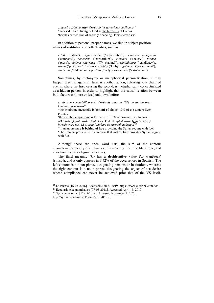...*acusó a Irán de estar detrás de los terroristas de Hamás*<sup>17</sup> \*accused Iran of **being behind of** the terrorists of Hamas 'he/she accused Iran of secretly financing Hamas terrorists'.

In addition to personal proper names, we find in subject position names of institutions or collectivities, such as:

*estado* ('state'), *organización* ('organization'), *empresa* /*compañía* ('company'), *consorcio* ('consortium'), *sociedad* ('society'), *prensa* ('press'), *cadena televisiva* ('TV channel'), *candidatura* ('candidacy'), *trama* ('plot'), *red* ('network'), *lobby* ('lobby'), *gobierno* ('government'), *sindicato* ('trade union'), *partido* ('party'), *asociación* ('association')...

Sometimes, by metonymy or metaphorical personification, it may happen that the agent, in turn, is another action, referring to a chain of events, where the first, causing the second, is metaphorically conceptualized as a hidden person, in order to highlight that the causal relation between both facts was (more or less) unknown before:

*el síndrome metabólico está detrás de casi un 10% de los tumores hepáticos primarios*<sup>18</sup>

\*the syndrome metabolic **is behind of** almost 10% of the tumors liver primary

'the metabolic syndrome is the cause of 10% of primary liver tumors'.  *irany*، *Daght* (ضغط إيراني **هو وراء** تزويد العراق للنظام السوري بالمحروقات *huwah wara tazwyd al'iraq lilnitham as-sury bil mahruqat*)19

\* Iranian pressure **is behind of** Iraq providing the Syrian regime with fuel

'The Iranian pressure is the reason that makes Iraq provides Syrian regime with fuel'.

Although these are open word lists, the sum of the contour characteristics clearly distinguishes this meaning from the literal one, and also from the other figurative values.

The third meaning (**C**) has a **desiderative** value ('to want/seek' [sth/sb]), and it only appears in 3.42% of the occurrences in Spanish. The left contour is a noun phrase designating persons or institutions, whereas the right contour is a noun phrase designating the object of a a desire whose compliance can never be achieved prior that of the VS itself.

<sup>&</sup>lt;sup>17</sup> La Prensa [16-05-2018]. Accessed June 5, 2019. https://www.elcaribe.com.do/. <sup>18</sup> Ecodiario.eleconomista.es [07-05-2018]. Accessed April 15, 2019. <sup>19</sup> Syrian economic. [12-05-2019]. Accessed November 4, 2020.

http://syrianeconomic.net/home/2019/05/12/.